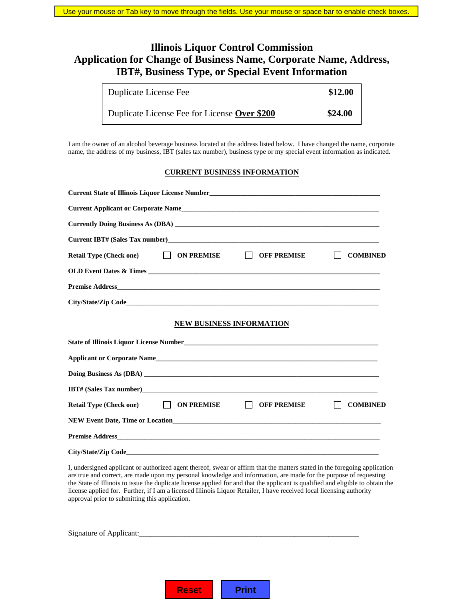## **Illinois Liquor Control Commission Application for Change of Business Name, Corporate Name, Address, IBT#, Business Type, or Special Event Information**

| Duplicate License Fee                        | \$12.00 |
|----------------------------------------------|---------|
| Duplicate License Fee for License Over \$200 | \$24.00 |

I am the owner of an alcohol beverage business located at the address listed below. I have changed the name, corporate name, the address of my business, IBT (sales tax number), business type or my special event information as indicated.

## **CURRENT BUSINESS INFORMATION**

| Current State of Illinois Liquor License Number__________________________________ |                          |                               |                 |
|-----------------------------------------------------------------------------------|--------------------------|-------------------------------|-----------------|
|                                                                                   |                          |                               |                 |
|                                                                                   |                          |                               |                 |
|                                                                                   |                          |                               |                 |
| <b>Retail Type (Check one)</b>                                                    | ON PREMISE               | $\Box$<br><b>OFF PREMISE</b>  | <b>COMBINED</b> |
|                                                                                   |                          |                               |                 |
|                                                                                   |                          |                               |                 |
|                                                                                   |                          |                               |                 |
|                                                                                   | NEW BUSINESS INFORMATION |                               |                 |
| State of Illinois Liquor License Number<br><u>Liquor Cicense Number</u>           |                          |                               |                 |
|                                                                                   |                          |                               |                 |
|                                                                                   |                          |                               |                 |
|                                                                                   |                          |                               |                 |
| Retail Type (Check one) □ ON PREMISE                                              |                          | $\perp$<br><b>OFF PREMISE</b> | <b>COMBINED</b> |
| NEW Event Date, Time or Location <b>Example 2018</b> 2019 12:30 AM                |                          |                               |                 |
|                                                                                   |                          |                               |                 |
|                                                                                   |                          |                               |                 |

I, undersigned applicant or authorized agent thereof, swear or affirm that the matters stated in the foregoing application are true and correct, are made upon my personal knowledge and information, are made for the purpose of requesting the State of Illinois to issue the duplicate license applied for and that the applicant is qualified and eligible to obtain the license applied for. Further, if I am a licensed Illinois Liquor Retailer, I have received local licensing authority approval prior to submitting this application.

| Signature of Applicant: |  |  |  |
|-------------------------|--|--|--|
|                         |  |  |  |
|                         |  |  |  |
|                         |  |  |  |

**Reset | Print**